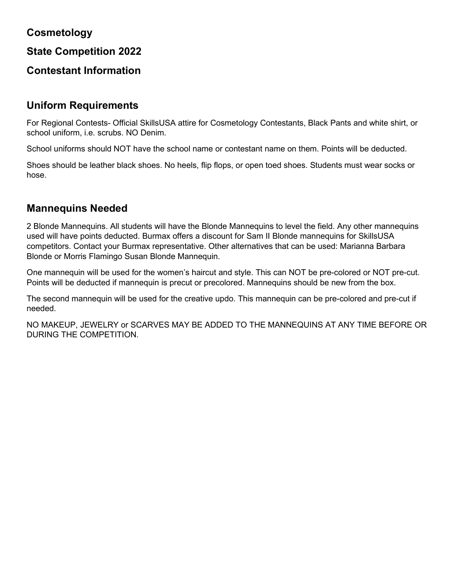## **Cosmetology**

**State Competition 2022**

## **Contestant Information**

### **Uniform Requirements**

For Regional Contests- Official SkillsUSA attire for Cosmetology Contestants, Black Pants and white shirt, or school uniform, i.e. scrubs. NO Denim.

School uniforms should NOT have the school name or contestant name on them. Points will be deducted.

Shoes should be leather black shoes. No heels, flip flops, or open toed shoes. Students must wear socks or hose.

## **Mannequins Needed**

2 Blonde Mannequins. All students will have the Blonde Mannequins to level the field. Any other mannequins used will have points deducted. Burmax offers a discount for Sam II Blonde mannequins for SkillsUSA competitors. Contact your Burmax representative. Other alternatives that can be used: Marianna Barbara Blonde or Morris Flamingo Susan Blonde Mannequin.

One mannequin will be used for the women's haircut and style. This can NOT be pre-colored or NOT pre-cut. Points will be deducted if mannequin is precut or precolored. Mannequins should be new from the box.

The second mannequin will be used for the creative updo. This mannequin can be pre-colored and pre-cut if needed.

NO MAKEUP, JEWELRY or SCARVES MAY BE ADDED TO THE MANNEQUINS AT ANY TIME BEFORE OR DURING THE COMPETITION.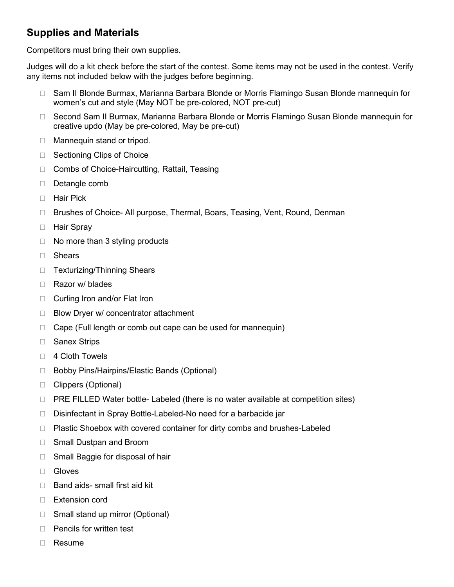# **Supplies and Materials**

Competitors must bring their own supplies.

Judges will do a kit check before the start of the contest. Some items may not be used in the contest. Verify any items not included below with the judges before beginning.

- □ Sam II Blonde Burmax, Marianna Barbara Blonde or Morris Flamingo Susan Blonde mannequin for women's cut and style (May NOT be pre-colored, NOT pre-cut)
- □ Second Sam II Burmax, Marianna Barbara Blonde or Morris Flamingo Susan Blonde mannequin for creative updo (May be pre-colored, May be pre-cut)
- □ Mannequin stand or tripod.
- □ Sectioning Clips of Choice
- □ Combs of Choice-Haircutting, Rattail, Teasing
- Detangle comb
- □ Hair Pick
- □ Brushes of Choice- All purpose, Thermal, Boars, Teasing, Vent, Round, Denman
- **Hair Spray**
- $\Box$  No more than 3 styling products
- □ Shears
- □ Texturizing/Thinning Shears
- □ Razor w/ blades
- □ Curling Iron and/or Flat Iron
- $\Box$  Blow Dryer w/ concentrator attachment
- $\Box$  Cape (Full length or comb out cape can be used for mannequin)
- □ Sanex Strips
- □ 4 Cloth Towels
- □ Bobby Pins/Hairpins/Elastic Bands (Optional)
- □ Clippers (Optional)
- $\Box$  PRE FILLED Water bottle- Labeled (there is no water available at competition sites)
- □ Disinfectant in Spray Bottle-Labeled-No need for a barbacide jar
- □ Plastic Shoebox with covered container for dirty combs and brushes-Labeled
- □ Small Dustpan and Broom
- □ Small Baggie for disposal of hair
- Gloves
- $\Box$  Band aids- small first aid kit
- □ Extension cord
- □ Small stand up mirror (Optional)
- $\Box$  Pencils for written test
- Resume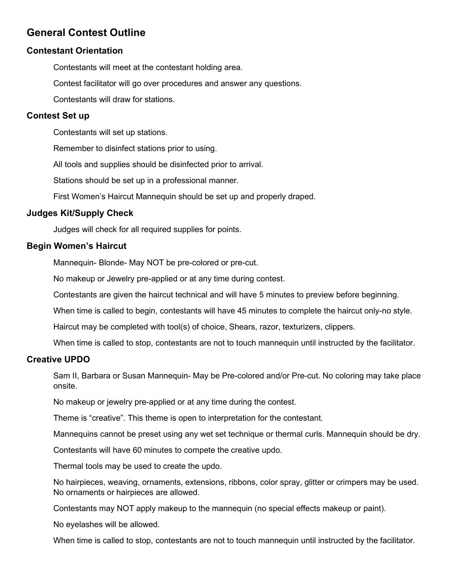## **General Contest Outline**

### **Contestant Orientation**

Contestants will meet at the contestant holding area.

Contest facilitator will go over procedures and answer any questions.

Contestants will draw for stations.

### **Contest Set up**

Contestants will set up stations.

Remember to disinfect stations prior to using.

All tools and supplies should be disinfected prior to arrival.

Stations should be set up in a professional manner.

First Women's Haircut Mannequin should be set up and properly draped.

### **Judges Kit/Supply Check**

Judges will check for all required supplies for points.

### **Begin Women's Haircut**

Mannequin- Blonde- May NOT be pre-colored or pre-cut.

No makeup or Jewelry pre-applied or at any time during contest.

Contestants are given the haircut technical and will have 5 minutes to preview before beginning.

When time is called to begin, contestants will have 45 minutes to complete the haircut only-no style.

Haircut may be completed with tool(s) of choice, Shears, razor, texturizers, clippers.

When time is called to stop, contestants are not to touch mannequin until instructed by the facilitator.

### **Creative UPDO**

Sam II, Barbara or Susan Mannequin- May be Pre-colored and/or Pre-cut. No coloring may take place onsite.

No makeup or jewelry pre-applied or at any time during the contest.

Theme is "creative". This theme is open to interpretation for the contestant.

Mannequins cannot be preset using any wet set technique or thermal curls. Mannequin should be dry.

Contestants will have 60 minutes to compete the creative updo.

Thermal tools may be used to create the updo.

No hairpieces, weaving, ornaments, extensions, ribbons, color spray, glitter or crimpers may be used. No ornaments or hairpieces are allowed.

Contestants may NOT apply makeup to the mannequin (no special effects makeup or paint).

No eyelashes will be allowed.

When time is called to stop, contestants are not to touch mannequin until instructed by the facilitator.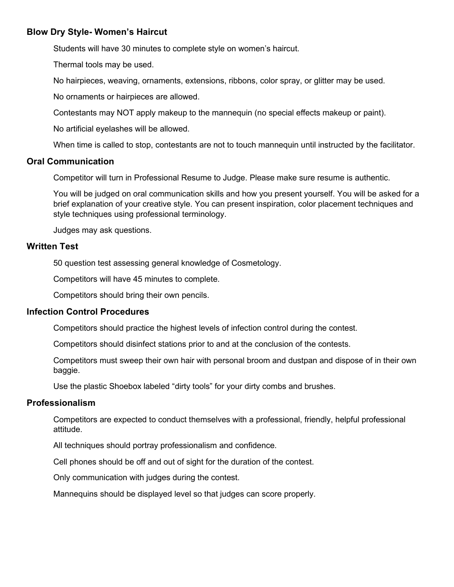### **Blow Dry Style- Women's Haircut**

Students will have 30 minutes to complete style on women's haircut.

Thermal tools may be used.

No hairpieces, weaving, ornaments, extensions, ribbons, color spray, or glitter may be used.

No ornaments or hairpieces are allowed.

Contestants may NOT apply makeup to the mannequin (no special effects makeup or paint).

No artificial eyelashes will be allowed.

When time is called to stop, contestants are not to touch mannequin until instructed by the facilitator.

#### **Oral Communication**

Competitor will turn in Professional Resume to Judge. Please make sure resume is authentic.

You will be judged on oral communication skills and how you present yourself. You will be asked for a brief explanation of your creative style. You can present inspiration, color placement techniques and style techniques using professional terminology.

Judges may ask questions.

#### **Written Test**

50 question test assessing general knowledge of Cosmetology.

Competitors will have 45 minutes to complete.

Competitors should bring their own pencils.

#### **Infection Control Procedures**

Competitors should practice the highest levels of infection control during the contest.

Competitors should disinfect stations prior to and at the conclusion of the contests.

Competitors must sweep their own hair with personal broom and dustpan and dispose of in their own baggie.

Use the plastic Shoebox labeled "dirty tools" for your dirty combs and brushes.

#### **Professionalism**

Competitors are expected to conduct themselves with a professional, friendly, helpful professional attitude.

All techniques should portray professionalism and confidence.

Cell phones should be off and out of sight for the duration of the contest.

Only communication with judges during the contest.

Mannequins should be displayed level so that judges can score properly.